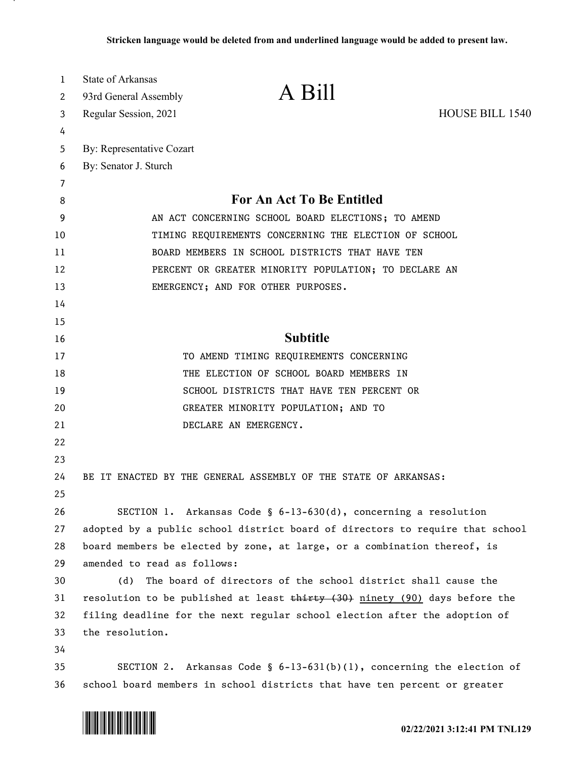| 1<br>2   | <b>State of Arkansas</b><br>93rd General Assembly                           | A Bill                                                                        |                        |
|----------|-----------------------------------------------------------------------------|-------------------------------------------------------------------------------|------------------------|
| 3        | Regular Session, 2021                                                       |                                                                               | <b>HOUSE BILL 1540</b> |
| 4        |                                                                             |                                                                               |                        |
| 5        | By: Representative Cozart                                                   |                                                                               |                        |
| 6        | By: Senator J. Sturch                                                       |                                                                               |                        |
| 7        |                                                                             |                                                                               |                        |
| 8        |                                                                             | <b>For An Act To Be Entitled</b>                                              |                        |
| 9        | AN ACT CONCERNING SCHOOL BOARD ELECTIONS; TO AMEND                          |                                                                               |                        |
| 10       | TIMING REQUIREMENTS CONCERNING THE ELECTION OF SCHOOL                       |                                                                               |                        |
| 11       | BOARD MEMBERS IN SCHOOL DISTRICTS THAT HAVE TEN                             |                                                                               |                        |
| 12       | PERCENT OR GREATER MINORITY POPULATION; TO DECLARE AN                       |                                                                               |                        |
| 13       |                                                                             | EMERGENCY; AND FOR OTHER PURPOSES.                                            |                        |
| 14       |                                                                             |                                                                               |                        |
| 15       |                                                                             |                                                                               |                        |
| 16       |                                                                             | <b>Subtitle</b>                                                               |                        |
| 17       |                                                                             | TO AMEND TIMING REQUIREMENTS CONCERNING                                       |                        |
| 18       |                                                                             | THE ELECTION OF SCHOOL BOARD MEMBERS IN                                       |                        |
| 19       |                                                                             | SCHOOL DISTRICTS THAT HAVE TEN PERCENT OR                                     |                        |
| 20       |                                                                             | GREATER MINORITY POPULATION; AND TO                                           |                        |
| 21       |                                                                             | DECLARE AN EMERGENCY.                                                         |                        |
| 22       |                                                                             |                                                                               |                        |
| 23       |                                                                             |                                                                               |                        |
| 24       |                                                                             | BE IT ENACTED BY THE GENERAL ASSEMBLY OF THE STATE OF ARKANSAS:               |                        |
| 25       |                                                                             |                                                                               |                        |
| 26       |                                                                             | SECTION 1. Arkansas Code § 6-13-630(d), concerning a resolution               |                        |
| 27       |                                                                             | adopted by a public school district board of directors to require that school |                        |
| 28       |                                                                             | board members be elected by zone, at large, or a combination thereof, is      |                        |
| 29       | amended to read as follows:                                                 |                                                                               |                        |
| 30       | (d)                                                                         | The board of directors of the school district shall cause the                 |                        |
| 31       | resolution to be published at least thirty (30) ninety (90) days before the |                                                                               |                        |
| 32       | filing deadline for the next regular school election after the adoption of  |                                                                               |                        |
| 33<br>34 | the resolution.                                                             |                                                                               |                        |
| 35       |                                                                             | SECTION 2. Arkansas Code § $6-13-631(b)(1)$ , concerning the election of      |                        |
| 36       |                                                                             | school board members in school districts that have ten percent or greater     |                        |

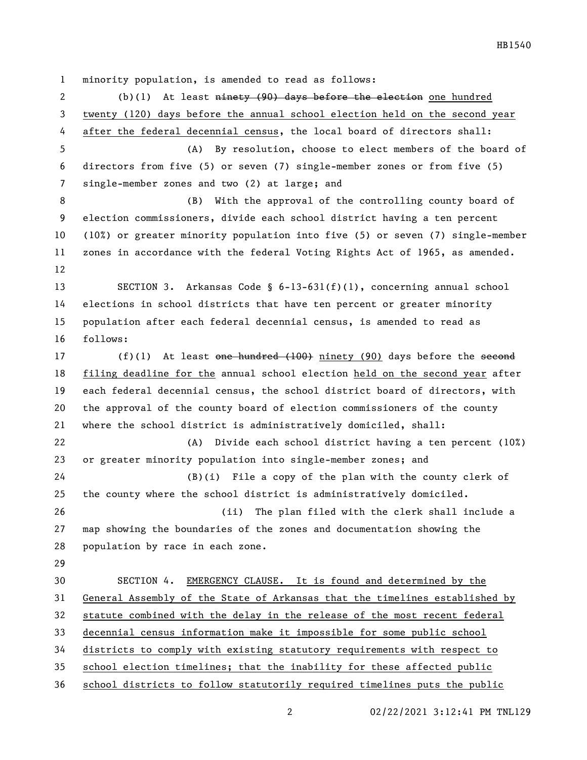minority population, is amended to read as follows:

2 (b)(1) At least ninety (90) days before the election one hundred twenty (120) days before the annual school election held on the second year after the federal decennial census, the local board of directors shall: (A) By resolution, choose to elect members of the board of directors from five (5) or seven (7) single-member zones or from five (5) single-member zones and two (2) at large; and (B) With the approval of the controlling county board of election commissioners, divide each school district having a ten percent (10%) or greater minority population into five (5) or seven (7) single-member zones in accordance with the federal Voting Rights Act of 1965, as amended. SECTION 3. Arkansas Code § 6-13-631(f)(1), concerning annual school elections in school districts that have ten percent or greater minority population after each federal decennial census, is amended to read as follows: 17 (f)(1) At least one hundred (100) ninety (90) days before the second filing deadline for the annual school election held on the second year after each federal decennial census, the school district board of directors, with the approval of the county board of election commissioners of the county where the school district is administratively domiciled, shall: (A) Divide each school district having a ten percent (10%) or greater minority population into single-member zones; and (B)(i) File a copy of the plan with the county clerk of the county where the school district is administratively domiciled. (ii) The plan filed with the clerk shall include a map showing the boundaries of the zones and documentation showing the population by race in each zone. SECTION 4. EMERGENCY CLAUSE. It is found and determined by the General Assembly of the State of Arkansas that the timelines established by statute combined with the delay in the release of the most recent federal decennial census information make it impossible for some public school districts to comply with existing statutory requirements with respect to school election timelines; that the inability for these affected public school districts to follow statutorily required timelines puts the public

02/22/2021 3:12:41 PM TNL129